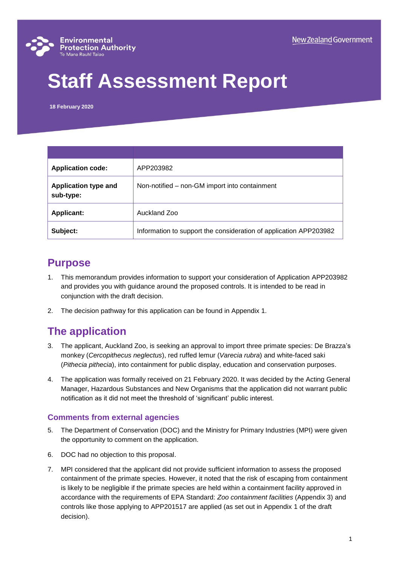

# **Staff Assessment Report**

**18 February 2020**

| <b>Application code:</b>                 | APP203982                                                         |
|------------------------------------------|-------------------------------------------------------------------|
| <b>Application type and</b><br>sub-type: | Non-notified – non-GM import into containment                     |
| <b>Applicant:</b>                        | Auckland Zoo                                                      |
| Subject:                                 | Information to support the consideration of application APP203982 |

### **Purpose**

- 1. This memorandum provides information to support your consideration of Application APP203982 and provides you with guidance around the proposed controls. It is intended to be read in conjunction with the draft decision.
- 2. The decision pathway for this application can be found in Appendix 1.

# **The application**

- 3. The applicant, Auckland Zoo, is seeking an approval to import three primate species: De Brazza's monkey (*Cercopithecus neglectus*), red ruffed lemur (*Varecia rubra*) and white-faced saki (*Pithecia pithecia*), into containment for public display, education and conservation purposes.
- 4. The application was formally received on 21 February 2020. It was decided by the Acting General Manager, Hazardous Substances and New Organisms that the application did not warrant public notification as it did not meet the threshold of 'significant' public interest.

### **Comments from external agencies**

- 5. The Department of Conservation (DOC) and the Ministry for Primary Industries (MPI) were given the opportunity to comment on the application.
- 6. DOC had no objection to this proposal.
- 7. MPI considered that the applicant did not provide sufficient information to assess the proposed containment of the primate species. However, it noted that the risk of escaping from containment is likely to be negligible if the primate species are held within a containment facility approved in accordance with the requirements of EPA Standard: *Zoo containment facilities* (Appendix 3) and controls like those applying to APP201517 are applied (as set out in Appendix 1 of the draft decision).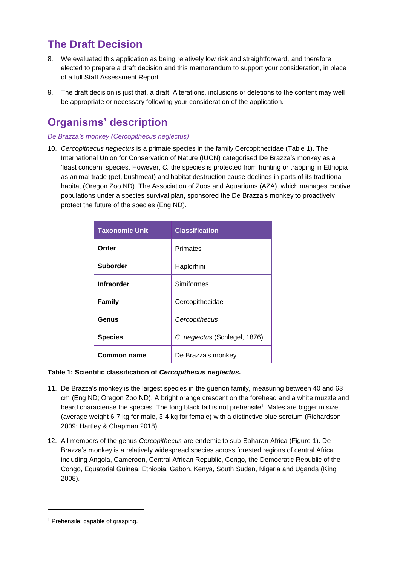# **The Draft Decision**

- 8. We evaluated this application as being relatively low risk and straightforward, and therefore elected to prepare a draft decision and this memorandum to support your consideration, in place of a full Staff Assessment Report.
- 9. The draft decision is just that, a draft. Alterations, inclusions or deletions to the content may well be appropriate or necessary following your consideration of the application.

# **Organisms' description**

#### *De Brazza's monkey (Cercopithecus neglectus)*

10. *Cercopithecus neglectus* is a primate species in the family Cercopithecidae (Table 1). The International Union for Conservation of Nature (IUCN) categorised De Brazza's monkey as a 'least concern' species. However, *C.* the species is protected from hunting or trapping in Ethiopia as animal trade (pet, bushmeat) and habitat destruction cause declines in parts of its traditional habitat (Oregon Zoo ND). The Association of Zoos and Aquariums (AZA), which manages captive populations under a species survival plan, sponsored the De Brazza's monkey to proactively protect the future of the species (Eng ND).

| <b>Taxonomic Unit</b> | <b>Classification</b>         |
|-----------------------|-------------------------------|
| Order                 | Primates                      |
| Suborder              | Haplorhini                    |
| <b>Infraorder</b>     | Simiformes                    |
| <b>Family</b>         | Cercopithecidae               |
| Genus                 | Cercopithecus                 |
| <b>Species</b>        | C. neglectus (Schlegel, 1876) |
| Common name           | De Brazza's monkey            |

### **Table 1: Scientific classification of** *Cercopithecus neglectus.*

- 11. De Brazza's monkey is the largest species in the guenon family, measuring between 40 and 63 cm (Eng ND; Oregon Zoo ND). A bright orange crescent on the forehead and a white muzzle and beard characterise the species. The long black tail is not prehensile<sup>1</sup>. Males are bigger in size (average weight 6-7 kg for male, 3-4 kg for female) with a distinctive blue scrotum (Richardson 2009; Hartley & Chapman 2018).
- 12. All members of the genus *Cercopithecus* are endemic to sub-Saharan Africa (Figure 1). De Brazza's monkey is a relatively widespread species across forested regions of central Africa including Angola, Cameroon, Central African Republic, Congo, the Democratic Republic of the Congo, Equatorial Guinea, Ethiopia, Gabon, Kenya, South Sudan, Nigeria and Uganda (King 2008).

<sup>1</sup> Prehensile: capable of grasping.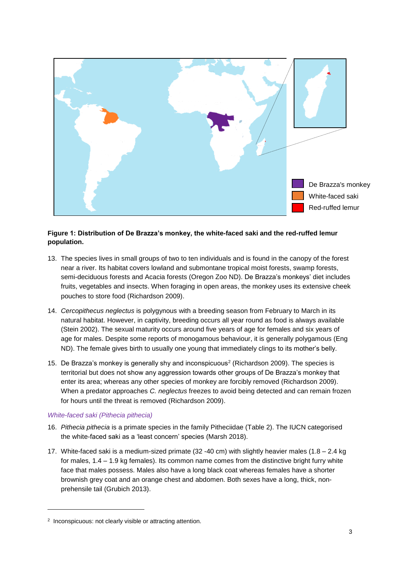

### **Figure 1: Distribution of De Brazza's monkey, the white-faced saki and the red-ruffed lemur population.**

- 13. The species lives in small groups of two to ten individuals and is found in the canopy of the forest near a river. Its habitat covers lowland and submontane tropical moist forests, swamp forests, semi-deciduous forests and Acacia forests (Oregon Zoo ND). De Brazza's monkeys' diet includes fruits, vegetables and insects. When foraging in open areas, the monkey uses its extensive cheek pouches to store food (Richardson 2009).
- 14. *Cercopithecus neglectus* is polygynous with a breeding season from February to March in its natural habitat. However, in captivity, breeding occurs all year round as food is always available (Stein 2002). The sexual maturity occurs around five years of age for females and six years of age for males. Despite some reports of monogamous behaviour, it is generally polygamous (Eng ND). The female gives birth to usually one young that immediately clings to its mother's belly.
- 15. De Brazza's monkey is generally shy and inconspicuous<sup>2</sup> (Richardson 2009). The species is territorial but does not show any aggression towards other groups of De Brazza's monkey that enter its area; whereas any other species of monkey are forcibly removed (Richardson 2009). When a predator approaches *C. neglectus* freezes to avoid being detected and can remain frozen for hours until the threat is removed (Richardson 2009).

#### *White-faced saki (Pithecia pithecia)*

- 16. *Pithecia pithecia* is a primate species in the family Pitheciidae (Table 2). The IUCN categorised the white-faced saki as a 'least concern' species (Marsh 2018).
- 17. White-faced saki is a medium-sized primate (32 -40 cm) with slightly heavier males (1.8 2.4 kg for males,  $1.4 - 1.9$  kg females). Its common name comes from the distinctive bright furry white face that males possess. Males also have a long black coat whereas females have a shorter brownish grey coat and an orange chest and abdomen. Both sexes have a long, thick, nonprehensile tail (Grubich 2013).

<sup>&</sup>lt;sup>2</sup> Inconspicuous: not clearly visible or attracting attention.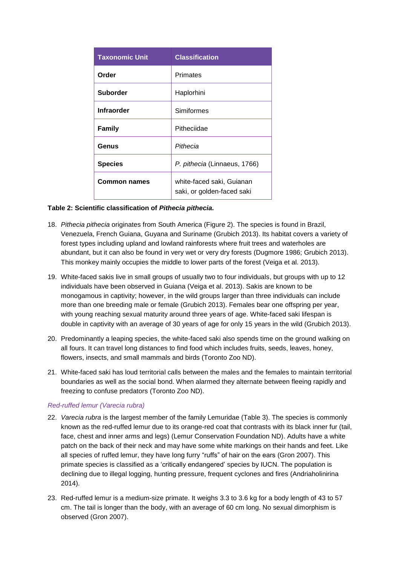| <b>Taxonomic Unit</b> | <b>Classification</b>                                   |
|-----------------------|---------------------------------------------------------|
| Order                 | Primates                                                |
| <b>Suborder</b>       | Haplorhini                                              |
| <b>Infraorder</b>     | Simiformes                                              |
| <b>Family</b>         | Pitheciidae                                             |
| Genus                 | Pithecia                                                |
| <b>Species</b>        | P. pithecia (Linnaeus, 1766)                            |
| <b>Common names</b>   | white-faced saki, Guianan<br>saki, or golden-faced saki |

#### **Table 2: Scientific classification of** *Pithecia pithecia.*

- 18. *Pithecia pithecia* originates from South America (Figure 2). The species is found in Brazil, Venezuela, French Guiana, Guyana and Suriname (Grubich 2013). Its habitat covers a variety of forest types including upland and lowland rainforests where fruit trees and waterholes are abundant, but it can also be found in very wet or very dry forests (Dugmore 1986; Grubich 2013). This monkey mainly occupies the middle to lower parts of the forest (Veiga et al. 2013).
- 19. White-faced sakis live in small groups of usually two to four individuals, but groups with up to 12 individuals have been observed in Guiana (Veiga et al. 2013). Sakis are known to be monogamous in captivity; however, in the wild groups larger than three individuals can include more than one breeding male or female (Grubich 2013). Females bear one offspring per year, with young reaching sexual maturity around three years of age. White-faced saki lifespan is double in captivity with an average of 30 years of age for only 15 years in the wild (Grubich 2013).
- 20. Predominantly a leaping species, the white-faced saki also spends time on the ground walking on all fours. It can travel long distances to find food which includes fruits, seeds, leaves, honey, flowers, insects, and small mammals and birds (Toronto Zoo ND).
- 21. White-faced saki has loud territorial calls between the males and the females to maintain territorial boundaries as well as the social bond. When alarmed they alternate between fleeing rapidly and freezing to confuse predators (Toronto Zoo ND).

#### *Red-ruffed lemur (Varecia rubra)*

- 22. *Varecia rubra* is the largest member of the family Lemuridae (Table 3). The species is commonly known as the red-ruffed lemur due to its orange-red coat that contrasts with its black inner fur (tail, face, chest and inner arms and legs) (Lemur Conservation Foundation ND). Adults have a white patch on the back of their neck and may have some white markings on their hands and feet. Like all species of ruffed lemur, they have long furry "ruffs" of hair on the ears (Gron 2007). This primate species is classified as a 'critically endangered' species by IUCN. The population is declining due to illegal logging, hunting pressure, frequent cyclones and fires (Andriaholinirina 2014).
- 23. Red-ruffed lemur is a medium-size primate. It weighs 3.3 to 3.6 kg for a body length of 43 to 57 cm. The tail is longer than the body, with an average of 60 cm long. No sexual dimorphism is observed (Gron 2007).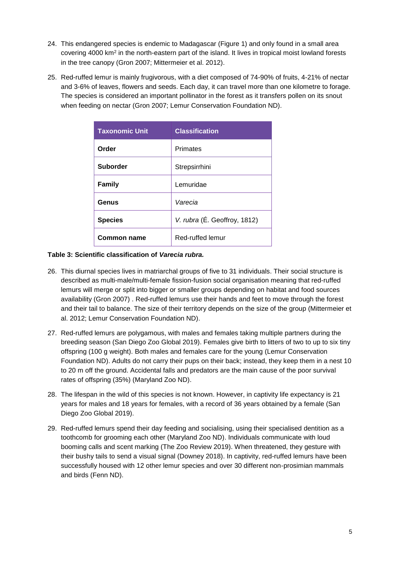- 24. This endangered species is endemic to Madagascar (Figure 1) and only found in a small area covering 4000 km<sup>2</sup> in the north-eastern part of the island. It lives in tropical moist lowland forests in the tree canopy (Gron 2007; Mittermeier et al. 2012).
- 25. Red-ruffed lemur is mainly frugivorous, with a diet composed of 74-90% of fruits, 4-21% of nectar and 3-6% of leaves, flowers and seeds. Each day, it can travel more than one kilometre to forage. The species is considered an important pollinator in the forest as it transfers pollen on its snout when feeding on nectar (Gron 2007; Lemur Conservation Foundation ND).

| <b>Taxonomic Unit</b> | <b>Classification</b>        |
|-----------------------|------------------------------|
| Order                 | <b>Primates</b>              |
| <b>Suborder</b>       | Strepsirrhini                |
| <b>Family</b>         | Lemuridae                    |
| Genus                 | Varecia                      |
| <b>Species</b>        | V. rubra (É. Geoffroy, 1812) |
| Common name           | Red-ruffed lemur             |

#### **Table 3: Scientific classification of** *Varecia rubra.*

- 26. This diurnal species lives in matriarchal groups of five to 31 individuals. Their social structure is described as multi-male/multi-female fission-fusion social organisation meaning that red-ruffed lemurs will merge or split into bigger or smaller groups depending on habitat and food sources availability (Gron 2007) . Red-ruffed lemurs use their hands and feet to move through the forest and their tail to balance. The size of their territory depends on the size of the group (Mittermeier et al. 2012; Lemur Conservation Foundation ND).
- 27. Red-ruffed lemurs are polygamous, with males and females taking multiple partners during the breeding season (San Diego Zoo Global 2019). Females give birth to litters of two to up to six tiny offspring (100 g weight). Both males and females care for the young (Lemur Conservation Foundation ND). Adults do not carry their pups on their back; instead, they keep them in a nest 10 to 20 m off the ground. Accidental falls and predators are the main cause of the poor survival rates of offspring (35%) (Maryland Zoo ND).
- 28. The lifespan in the wild of this species is not known. However, in captivity life expectancy is 21 years for males and 18 years for females, with a record of 36 years obtained by a female (San Diego Zoo Global 2019).
- 29. Red-ruffed lemurs spend their day feeding and socialising, using their specialised dentition as a toothcomb for grooming each other (Maryland Zoo ND). Individuals communicate with loud booming calls and scent marking (The Zoo Review 2019). When threatened, they gesture with their bushy tails to send a visual signal (Downey 2018). In captivity, red-ruffed lemurs have been successfully housed with 12 other lemur species and over 30 different non-prosimian mammals and birds (Fenn ND).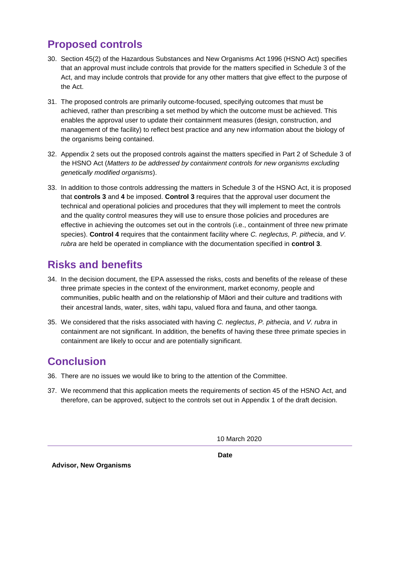# **Proposed controls**

- 30. Section 45(2) of the Hazardous Substances and New Organisms Act 1996 (HSNO Act) specifies that an approval must include controls that provide for the matters specified in Schedule 3 of the Act, and may include controls that provide for any other matters that give effect to the purpose of the Act.
- 31. The proposed controls are primarily outcome-focused, specifying outcomes that must be achieved, rather than prescribing a set method by which the outcome must be achieved. This enables the approval user to update their containment measures (design, construction, and management of the facility) to reflect best practice and any new information about the biology of the organisms being contained.
- 32. Appendix 2 sets out the proposed controls against the matters specified in Part 2 of Schedule 3 of the HSNO Act (*Matters to be addressed by containment controls for new organisms excluding genetically modified organisms*).
- 33. In addition to those controls addressing the matters in Schedule 3 of the HSNO Act, it is proposed that **controls 3** and **4** be imposed. **Control 3** requires that the approval user document the technical and operational policies and procedures that they will implement to meet the controls and the quality control measures they will use to ensure those policies and procedures are effective in achieving the outcomes set out in the controls (i.e., containment of three new primate species). **Control 4** requires that the containment facility where *C. neglectus, P. pithecia*, and *V. rubra* are held be operated in compliance with the documentation specified in **control 3**.

# **Risks and benefits**

- 34. In the decision document, the EPA assessed the risks, costs and benefits of the release of these three primate species in the context of the environment, market economy, people and communities, public health and on the relationship of Māori and their culture and traditions with their ancestral lands, water, sites, wāhi tapu, valued flora and fauna, and other taonga.
- 35. We considered that the risks associated with having *C. neglectus*, *P. pithecia*, and *V. rubra* in containment are not significant. In addition, the benefits of having these three primate species in containment are likely to occur and are potentially significant.

# **Conclusion**

- 36. There are no issues we would like to bring to the attention of the Committee.
- 37. We recommend that this application meets the requirements of section 45 of the HSNO Act, and therefore, can be approved, subject to the controls set out in Appendix 1 of the draft decision.

10 March 2020

**Date**

**Advisor, New Organisms**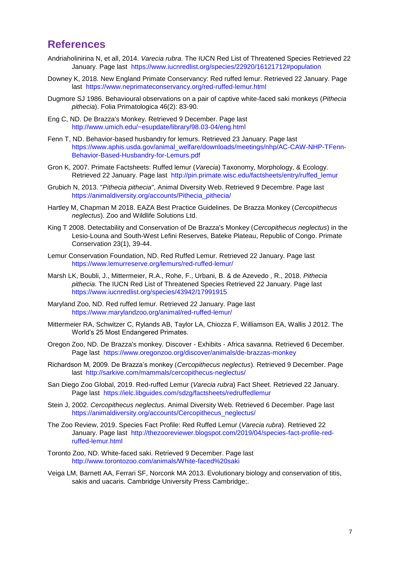### **References**

- Andriaholinirina N, et all, 2014. *Varecia rubra*. The IUCN Red List of Threatened Species Retrieved 22 January. Page last <https://www.iucnredlist.org/species/22920/16121712#population>
- Downey K, 2018. New England Primate Conservancy: Red ruffed lemur. Retrieved 22 January. Page last <https://www.neprimateconservancy.org/red-ruffed-lemur.html>
- Dugmore SJ 1986. Behavioural observations on a pair of captive white-faced saki monkeys (*Pithecia pithecia*). Folia Primatologica 46(2): 83-90.
- Eng C, ND. De Brazza's Monkey. Retrieved 9 December. Page last <http://www.umich.edu/~esupdate/library/98.03-04/eng.html>
- Fenn T, ND. Behavior-based husbandry for lemurs. Retrieved 23 January. Page last [https://www.aphis.usda.gov/animal\\_welfare/downloads/meetings/nhp/AC-CAW-NHP-TFenn-](https://www.aphis.usda.gov/animal_welfare/downloads/meetings/nhp/AC-CAW-NHP-TFenn-Behavior-Based-Husbandry-for-Lemurs.pdf)[Behavior-Based-Husbandry-for-Lemurs.pdf](https://www.aphis.usda.gov/animal_welfare/downloads/meetings/nhp/AC-CAW-NHP-TFenn-Behavior-Based-Husbandry-for-Lemurs.pdf)
- Gron K, 2007. Primate Factsheets: Ruffed lemur (*Varecia*) Taxonomy, Morphology, & Ecology. Retrieved 22 January. Page last [http://pin.primate.wisc.edu/factsheets/entry/ruffed\\_lemur](http://pin.primate.wisc.edu/factsheets/entry/ruffed_lemur)
- Grubich N, 2013. "*Pithecia pithecia*", Animal Diversity Web. Retrieved 9 Decembre. Page last [https://animaldiversity.org/accounts/Pithecia\\_pithecia/](https://animaldiversity.org/accounts/Pithecia_pithecia/)
- Hartley M, Chapman M 2018. EAZA Best Practice Guidelines. De Brazza Monkey (*Cercopithecus neglectus*). Zoo and Wildlife Solutions Ltd.
- King T 2008. Detectability and Conservation of De Brazza's Monkey (*Cercopithecus neglectus*) in the Lesio-Louna and South-West Lefini Reserves, Bateke Plateau, Republic of Congo. Primate Conservation 23(1), 39-44.
- Lemur Conservation Foundation, ND. Red Ruffed Lemur. Retrieved 22 January. Page last <https://www.lemurreserve.org/lemurs/red-ruffed-lemur/>
- Marsh LK, Boubli, J., Mittermeier, R.A., Rohe, F., Urbani, B. & de Azevedo , R., 2018. *Pithecia pithecia*. The IUCN Red List of Threatened Species Retrieved 22 January. Page last <https://www.iucnredlist.org/species/43942/17991915>
- Maryland Zoo, ND. Red ruffed lemur. Retrieved 22 January. Page last <https://www.marylandzoo.org/animal/red-ruffed-lemur/>
- Mittermeier RA, Schwitzer C, Rylands AB, Taylor LA, Chiozza F, Williamson EA, Wallis J 2012. The World's 25 Most Endangered Primates.
- Oregon Zoo, ND. De Brazza's monkey. Discover Exhibits Africa savanna. Retrieved 6 December. Page last <https://www.oregonzoo.org/discover/animals/de-brazzas-monkey>
- Richardson M, 2009. De Brazza's monkey (*Cercopithecus neglectus*). Retrieved 9 December. Page last <http://sarkive.com/mammals/cercopithecus-neglectus/>
- San Diego Zoo Global, 2019. Red-ruffed Lemur (*Varecia rubra*) Fact Sheet. Retrieved 22 January. Page last <https://ielc.libguides.com/sdzg/factsheets/redruffedlemur>
- Stein J, 2002. *Cercopithecus neglectus*. Animal Diversity Web. Retrieved 6 December. Page last [https://animaldiversity.org/accounts/Cercopithecus\\_neglectus/](https://animaldiversity.org/accounts/Cercopithecus_neglectus/)
- The Zoo Review, 2019. Species Fact Profile: Red Ruffed Lemur (*Varecia rubra*). Retrieved 22 January. Page last [http://thezooreviewer.blogspot.com/2019/04/species-fact-profile-red](http://thezooreviewer.blogspot.com/2019/04/species-fact-profile-red-ruffed-lemur.html)[ruffed-lemur.html](http://thezooreviewer.blogspot.com/2019/04/species-fact-profile-red-ruffed-lemur.html)
- Toronto Zoo, ND. White-faced saki. Retrieved 9 December. Page last <http://www.torontozoo.com/animals/White-faced%20saki>
- Veiga LM, Barnett AA, Ferrari SF, Norconk MA 2013. Evolutionary biology and conservation of titis, sakis and uacaris. Cambridge University Press Cambridge: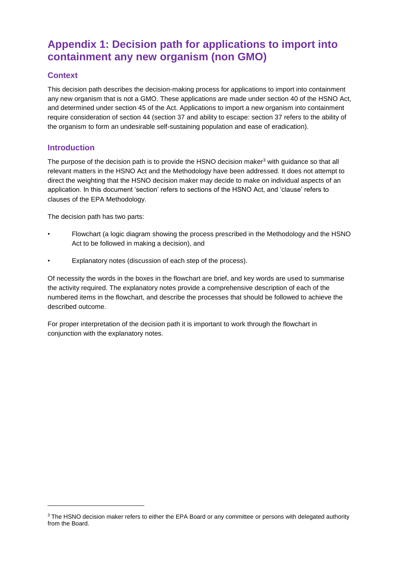# **Appendix 1: Decision path for applications to import into containment any new organism (non GMO)**

### **Context**

This decision path describes the decision-making process for applications to import into containment any new organism that is not a GMO. These applications are made under section 40 of the HSNO Act, and determined under section 45 of the Act. Applications to import a new organism into containment require consideration of section 44 (section 37 and ability to escape: section 37 refers to the ability of the organism to form an undesirable self-sustaining population and ease of eradication).

### **Introduction**

l

The purpose of the decision path is to provide the HSNO decision maker $3$  with quidance so that all relevant matters in the HSNO Act and the Methodology have been addressed. It does not attempt to direct the weighting that the HSNO decision maker may decide to make on individual aspects of an application. In this document 'section' refers to sections of the HSNO Act, and 'clause' refers to clauses of the EPA Methodology.

The decision path has two parts:

- Flowchart (a logic diagram showing the process prescribed in the Methodology and the HSNO Act to be followed in making a decision), and
- Explanatory notes (discussion of each step of the process).

Of necessity the words in the boxes in the flowchart are brief, and key words are used to summarise the activity required. The explanatory notes provide a comprehensive description of each of the numbered items in the flowchart, and describe the processes that should be followed to achieve the described outcome.

For proper interpretation of the decision path it is important to work through the flowchart in conjunction with the explanatory notes.

<sup>&</sup>lt;sup>3</sup> The HSNO decision maker refers to either the EPA Board or any committee or persons with delegated authority from the Board.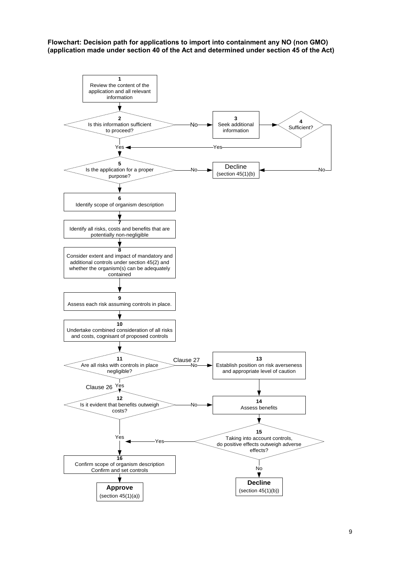**Flowchart: Decision path for applications to import into containment any NO (non GMO) (application made under section 40 of the Act and determined under section 45 of the Act)**

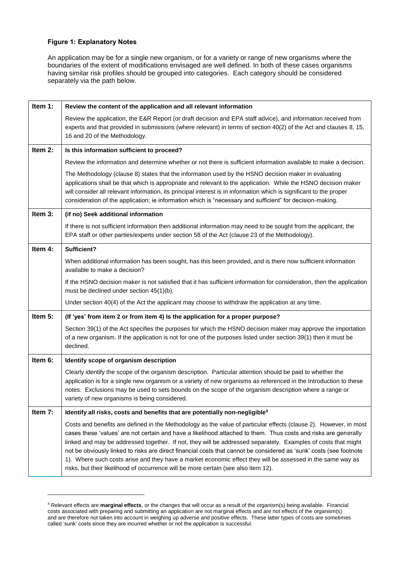#### **Figure 1: Explanatory Notes**

l

An application may be for a single new organism, or for a variety or range of new organisms where the boundaries of the extent of modifications envisaged are well defined. In both of these cases organisms having similar risk profiles should be grouped into categories. Each category should be considered separately via the path below.

| Item 1: | Review the content of the application and all relevant information                                                                                                                                                                                                                                                                                                                                                                                                                                                                                                                                                                                                               |
|---------|----------------------------------------------------------------------------------------------------------------------------------------------------------------------------------------------------------------------------------------------------------------------------------------------------------------------------------------------------------------------------------------------------------------------------------------------------------------------------------------------------------------------------------------------------------------------------------------------------------------------------------------------------------------------------------|
|         | Review the application, the E&R Report (or draft decision and EPA staff advice), and information received from<br>experts and that provided in submissions (where relevant) in terms of section $40(2)$ of the Act and clauses 8, 15,<br>16 and 20 of the Methodology.                                                                                                                                                                                                                                                                                                                                                                                                           |
| Item 2: | Is this information sufficient to proceed?                                                                                                                                                                                                                                                                                                                                                                                                                                                                                                                                                                                                                                       |
|         | Review the information and determine whether or not there is sufficient information available to make a decision.                                                                                                                                                                                                                                                                                                                                                                                                                                                                                                                                                                |
|         | The Methodology (clause 8) states that the information used by the HSNO decision maker in evaluating<br>applications shall be that which is appropriate and relevant to the application. While the HSNO decision maker<br>will consider all relevant information, its principal interest is in information which is significant to the proper<br>consideration of the application; ie information which is "necessary and sufficient" for decision-making.                                                                                                                                                                                                                       |
| Item 3: | (if no) Seek additional information                                                                                                                                                                                                                                                                                                                                                                                                                                                                                                                                                                                                                                              |
|         | If there is not sufficient information then additional information may need to be sought from the applicant, the<br>EPA staff or other parties/experts under section 58 of the Act (clause 23 of the Methodology).                                                                                                                                                                                                                                                                                                                                                                                                                                                               |
| Item 4: | Sufficient?                                                                                                                                                                                                                                                                                                                                                                                                                                                                                                                                                                                                                                                                      |
|         | When additional information has been sought, has this been provided, and is there now sufficient information<br>available to make a decision?                                                                                                                                                                                                                                                                                                                                                                                                                                                                                                                                    |
|         | If the HSNO decision maker is not satisfied that it has sufficient information for consideration, then the application<br>must be declined under section 45(1)(b).                                                                                                                                                                                                                                                                                                                                                                                                                                                                                                               |
|         | Under section 40(4) of the Act the applicant may choose to withdraw the application at any time.                                                                                                                                                                                                                                                                                                                                                                                                                                                                                                                                                                                 |
| Item 5: | (If 'yes' from item 2 or from item 4) Is the application for a proper purpose?                                                                                                                                                                                                                                                                                                                                                                                                                                                                                                                                                                                                   |
|         | Section 39(1) of the Act specifies the purposes for which the HSNO decision maker may approve the importation<br>of a new organism. If the application is not for one of the purposes listed under section 39(1) then it must be<br>declined.                                                                                                                                                                                                                                                                                                                                                                                                                                    |
| Item 6: | Identify scope of organism description                                                                                                                                                                                                                                                                                                                                                                                                                                                                                                                                                                                                                                           |
|         | Clearly identify the scope of the organism description. Particular attention should be paid to whether the<br>application is for a single new organism or a variety of new organisms as referenced in the Introduction to these<br>notes. Exclusions may be used to sets bounds on the scope of the organism description where a range or<br>variety of new organisms is being considered.                                                                                                                                                                                                                                                                                       |
| Item 7: | Identify all risks, costs and benefits that are potentially non-negligible <sup>4</sup>                                                                                                                                                                                                                                                                                                                                                                                                                                                                                                                                                                                          |
|         | Costs and benefits are defined in the Methodology as the value of particular effects (clause 2). However, in most<br>cases these 'values' are not certain and have a likelihood attached to them. Thus costs and risks are generally<br>linked and may be addressed together. If not, they will be addressed separately. Examples of costs that might<br>not be obviously linked to risks are direct financial costs that cannot be considered as 'sunk' costs (see footnote<br>1). Where such costs arise and they have a market economic effect they will be assessed in the same way as<br>risks, but their likelihood of occurrence will be more certain (see also item 12). |

<sup>4</sup> Relevant effects are **marginal effects**, or the changes that will occur as a result of the organism(s) being available. Financial costs associated with preparing and submitting an application are not marginal effects and are not effects of the organism(s) and are therefore not taken into account in weighing up adverse and positive effects. These latter types of costs are sometimes called 'sunk' costs since they are incurred whether or not the application is successful.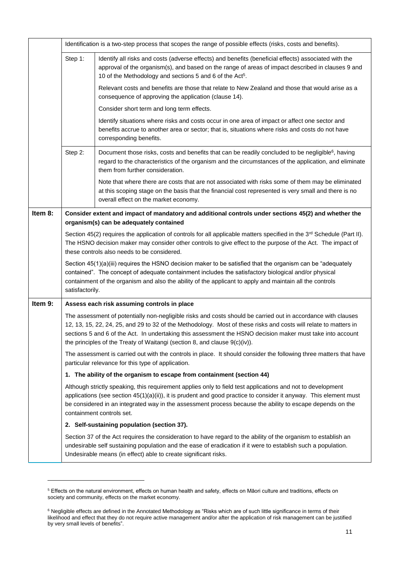|         | Identification is a two-step process that scopes the range of possible effects (risks, costs and benefits).                                                                                                                                                                                                                                                                                                                   |                                                                                                                                                                                                                                                                                                    |  |  |  |  |
|---------|-------------------------------------------------------------------------------------------------------------------------------------------------------------------------------------------------------------------------------------------------------------------------------------------------------------------------------------------------------------------------------------------------------------------------------|----------------------------------------------------------------------------------------------------------------------------------------------------------------------------------------------------------------------------------------------------------------------------------------------------|--|--|--|--|
|         | Step 1:                                                                                                                                                                                                                                                                                                                                                                                                                       | Identify all risks and costs (adverse effects) and benefits (beneficial effects) associated with the<br>approval of the organism(s), and based on the range of areas of impact described in clauses 9 and<br>10 of the Methodology and sections 5 and 6 of the Act <sup>5</sup> .                  |  |  |  |  |
|         |                                                                                                                                                                                                                                                                                                                                                                                                                               | Relevant costs and benefits are those that relate to New Zealand and those that would arise as a<br>consequence of approving the application (clause 14).                                                                                                                                          |  |  |  |  |
|         |                                                                                                                                                                                                                                                                                                                                                                                                                               | Consider short term and long term effects.                                                                                                                                                                                                                                                         |  |  |  |  |
|         |                                                                                                                                                                                                                                                                                                                                                                                                                               | Identify situations where risks and costs occur in one area of impact or affect one sector and<br>benefits accrue to another area or sector; that is, situations where risks and costs do not have<br>corresponding benefits.                                                                      |  |  |  |  |
|         | Step 2:                                                                                                                                                                                                                                                                                                                                                                                                                       | Document those risks, costs and benefits that can be readily concluded to be negligible <sup>6</sup> , having<br>regard to the characteristics of the organism and the circumstances of the application, and eliminate<br>them from further consideration.                                         |  |  |  |  |
|         |                                                                                                                                                                                                                                                                                                                                                                                                                               | Note that where there are costs that are not associated with risks some of them may be eliminated<br>at this scoping stage on the basis that the financial cost represented is very small and there is no<br>overall effect on the market economy.                                                 |  |  |  |  |
| Item 8: | Consider extent and impact of mandatory and additional controls under sections 45(2) and whether the<br>organism(s) can be adequately contained                                                                                                                                                                                                                                                                               |                                                                                                                                                                                                                                                                                                    |  |  |  |  |
|         | Section 45(2) requires the application of controls for all applicable matters specified in the $3rd$ Schedule (Part II).<br>The HSNO decision maker may consider other controls to give effect to the purpose of the Act. The impact of<br>these controls also needs to be considered.                                                                                                                                        |                                                                                                                                                                                                                                                                                                    |  |  |  |  |
|         | Section 45(1)(a)(iii) requires the HSNO decision maker to be satisfied that the organism can be "adequately<br>contained". The concept of adequate containment includes the satisfactory biological and/or physical<br>containment of the organism and also the ability of the applicant to apply and maintain all the controls<br>satisfactorily.                                                                            |                                                                                                                                                                                                                                                                                                    |  |  |  |  |
| Item 9: | Assess each risk assuming controls in place                                                                                                                                                                                                                                                                                                                                                                                   |                                                                                                                                                                                                                                                                                                    |  |  |  |  |
|         | The assessment of potentially non-negligible risks and costs should be carried out in accordance with clauses<br>12, 13, 15, 22, 24, 25, and 29 to 32 of the Methodology. Most of these risks and costs will relate to matters in<br>sections 5 and 6 of the Act. In undertaking this assessment the HSNO decision maker must take into account<br>the principles of the Treaty of Waitangi (section 8, and clause 9(c)(iv)). |                                                                                                                                                                                                                                                                                                    |  |  |  |  |
|         | The assessment is carried out with the controls in place. It should consider the following three matters that have<br>particular relevance for this type of application.                                                                                                                                                                                                                                                      |                                                                                                                                                                                                                                                                                                    |  |  |  |  |
|         |                                                                                                                                                                                                                                                                                                                                                                                                                               | 1. The ability of the organism to escape from containment (section 44)                                                                                                                                                                                                                             |  |  |  |  |
|         | Although strictly speaking, this requirement applies only to field test applications and not to development<br>applications (see section 45(1)(a)(ii)), it is prudent and good practice to consider it anyway. This element must<br>be considered in an integrated way in the assessment process because the ability to escape depends on the<br>containment controls set.                                                    |                                                                                                                                                                                                                                                                                                    |  |  |  |  |
|         |                                                                                                                                                                                                                                                                                                                                                                                                                               | 2. Self-sustaining population (section 37).                                                                                                                                                                                                                                                        |  |  |  |  |
|         |                                                                                                                                                                                                                                                                                                                                                                                                                               | Section 37 of the Act requires the consideration to have regard to the ability of the organism to establish an<br>undesirable self sustaining population and the ease of eradication if it were to establish such a population.<br>Undesirable means (in effect) able to create significant risks. |  |  |  |  |

 $^5$  Effects on the natural environment, effects on human health and safety, effects on Māori culture and traditions, effects on society and community, effects on the market economy.

<sup>&</sup>lt;sup>6</sup> Negligible effects are defined in the Annotated Methodology as "Risks which are of such little significance in terms of their likelihood and effect that they do not require active management and/or after the application of risk management can be justified by very small levels of benefits".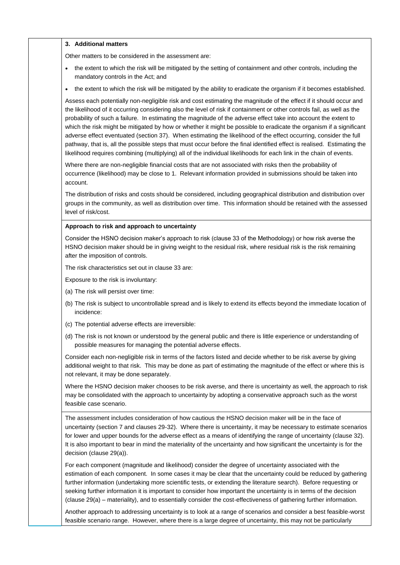#### **3. Additional matters**

Other matters to be considered in the assessment are:

- the extent to which the risk will be mitigated by the setting of containment and other controls, including the mandatory controls in the Act; and
- the extent to which the risk will be mitigated by the ability to eradicate the organism if it becomes established.

Assess each potentially non-negligible risk and cost estimating the magnitude of the effect if it should occur and the likelihood of it occurring considering also the level of risk if containment or other controls fail, as well as the probability of such a failure. In estimating the magnitude of the adverse effect take into account the extent to which the risk might be mitigated by how or whether it might be possible to eradicate the organism if a significant adverse effect eventuated (section 37). When estimating the likelihood of the effect occurring, consider the full pathway, that is, all the possible steps that must occur before the final identified effect is realised. Estimating the likelihood requires combining (multiplying) all of the individual likelihoods for each link in the chain of events.

Where there are non-negligible financial costs that are not associated with risks then the probability of occurrence (likelihood) may be close to 1. Relevant information provided in submissions should be taken into account.

The distribution of risks and costs should be considered, including geographical distribution and distribution over groups in the community, as well as distribution over time. This information should be retained with the assessed level of risk/cost.

#### **Approach to risk and approach to uncertainty**

Consider the HSNO decision maker's approach to risk (clause 33 of the Methodology) or how risk averse the HSNO decision maker should be in giving weight to the residual risk, where residual risk is the risk remaining after the imposition of controls.

The risk characteristics set out in clause 33 are:

Exposure to the risk is involuntary:

- (a) The risk will persist over time:
- (b) The risk is subject to uncontrollable spread and is likely to extend its effects beyond the immediate location of incidence:
- (c) The potential adverse effects are irreversible:
- (d) The risk is not known or understood by the general public and there is little experience or understanding of possible measures for managing the potential adverse effects.

Consider each non-negligible risk in terms of the factors listed and decide whether to be risk averse by giving additional weight to that risk. This may be done as part of estimating the magnitude of the effect or where this is not relevant, it may be done separately.

Where the HSNO decision maker chooses to be risk averse, and there is uncertainty as well, the approach to risk may be consolidated with the approach to uncertainty by adopting a conservative approach such as the worst feasible case scenario.

The assessment includes consideration of how cautious the HSNO decision maker will be in the face of uncertainty (section 7 and clauses 29-32). Where there is uncertainty, it may be necessary to estimate scenarios for lower and upper bounds for the adverse effect as a means of identifying the range of uncertainty (clause 32). It is also important to bear in mind the materiality of the uncertainty and how significant the uncertainty is for the decision (clause 29(a)).

For each component (magnitude and likelihood) consider the degree of uncertainty associated with the estimation of each component. In some cases it may be clear that the uncertainty could be reduced by gathering further information (undertaking more scientific tests, or extending the literature search). Before requesting or seeking further information it is important to consider how important the uncertainty is in terms of the decision (clause 29(a) – materiality), and to essentially consider the cost-effectiveness of gathering further information.

Another approach to addressing uncertainty is to look at a range of scenarios and consider a best feasible-worst feasible scenario range. However, where there is a large degree of uncertainty, this may not be particularly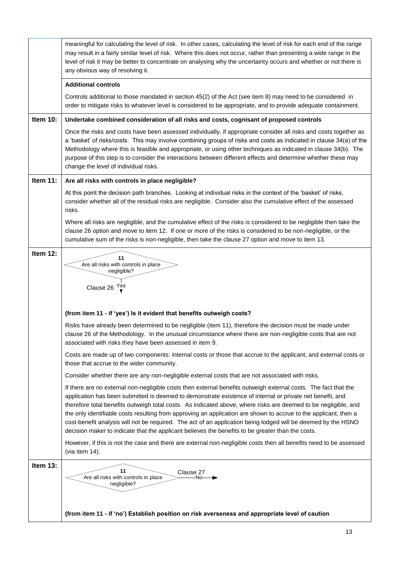|                 | meaningful for calculating the level of risk. In other cases, calculating the level of risk for each end of the range<br>may result in a fairly similar level of risk. Where this does not occur, rather than presenting a wide range in the<br>level of risk it may be better to concentrate on analysing why the uncertainty occurs and whether or not there is<br>any obvious way of resolving it.                                                                                                                                                                                                                                                                                     |
|-----------------|-------------------------------------------------------------------------------------------------------------------------------------------------------------------------------------------------------------------------------------------------------------------------------------------------------------------------------------------------------------------------------------------------------------------------------------------------------------------------------------------------------------------------------------------------------------------------------------------------------------------------------------------------------------------------------------------|
|                 | <b>Additional controls</b>                                                                                                                                                                                                                                                                                                                                                                                                                                                                                                                                                                                                                                                                |
|                 | Controls additional to those mandated in section 45(2) of the Act (see item 8) may need to be considered in<br>order to mitigate risks to whatever level is considered to be appropriate, and to provide adequate containment.                                                                                                                                                                                                                                                                                                                                                                                                                                                            |
| <b>Item 10:</b> | Undertake combined consideration of all risks and costs, cognisant of proposed controls                                                                                                                                                                                                                                                                                                                                                                                                                                                                                                                                                                                                   |
|                 | Once the risks and costs have been assessed individually, if appropriate consider all risks and costs together as<br>a 'basket' of risks/costs. This may involve combining groups of risks and costs as indicated in clause 34(a) of the<br>Methodology where this is feasible and appropriate, or using other techniques as indicated in clause 34(b). The<br>purpose of this step is to consider the interactions between different effects and determine whether these may<br>change the level of individual risks.                                                                                                                                                                    |
| Item 11:        | Are all risks with controls in place negligible?                                                                                                                                                                                                                                                                                                                                                                                                                                                                                                                                                                                                                                          |
|                 | At this point the decision path branches. Looking at individual risks in the context of the 'basket' of risks,<br>consider whether all of the residual risks are negligible. Consider also the cumulative effect of the assessed<br>risks.                                                                                                                                                                                                                                                                                                                                                                                                                                                |
|                 | Where all risks are negligible, and the cumulative effect of the risks is considered to be negligible then take the<br>clause 26 option and move to item 12. If one or more of the risks is considered to be non-negligible, or the<br>cumulative sum of the risks is non-negligible, then take the clause 27 option and move to item 13.                                                                                                                                                                                                                                                                                                                                                 |
| Item 12:        | 11<br>Are all risks with controls in place<br>negligible?<br>Clause 26 Yes                                                                                                                                                                                                                                                                                                                                                                                                                                                                                                                                                                                                                |
|                 | (from item 11 - if 'yes') Is it evident that benefits outweigh costs?                                                                                                                                                                                                                                                                                                                                                                                                                                                                                                                                                                                                                     |
|                 | Risks have already been determined to be negligible (item 11), therefore the decision must be made under<br>clause 26 of the Methodology. In the unusual circumstance where there are non-negligible costs that are not<br>associated with risks they have been assessed in item 9.                                                                                                                                                                                                                                                                                                                                                                                                       |
|                 | Costs are made up of two components: internal costs or those that accrue to the applicant, and external costs or<br>those that accrue to the wider community.                                                                                                                                                                                                                                                                                                                                                                                                                                                                                                                             |
|                 | Consider whether there are any non-negligible external costs that are not associated with risks.                                                                                                                                                                                                                                                                                                                                                                                                                                                                                                                                                                                          |
|                 | If there are no external non-negligible costs then external benefits outweigh external costs. The fact that the<br>application has been submitted is deemed to demonstrate existence of internal or private net benefit, and<br>therefore total benefits outweigh total costs. As indicated above, where risks are deemed to be negligible, and<br>the only identifiable costs resulting from approving an application are shown to accrue to the applicant, then a<br>cost-benefit analysis will not be required. The act of an application being lodged will be deemed by the HSNO<br>decision maker to indicate that the applicant believes the benefits to be greater than the costs. |
|                 | However, if this is not the case and there are external non-negligible costs then all benefits need to be assessed<br>(via item 14).                                                                                                                                                                                                                                                                                                                                                                                                                                                                                                                                                      |
| Item 13:        | 11<br>Clause 27<br>Are all risks with controls in place<br>No-<br>negligible?                                                                                                                                                                                                                                                                                                                                                                                                                                                                                                                                                                                                             |
|                 | (from item 11 - if 'no') Establish position on risk averseness and appropriate level of caution                                                                                                                                                                                                                                                                                                                                                                                                                                                                                                                                                                                           |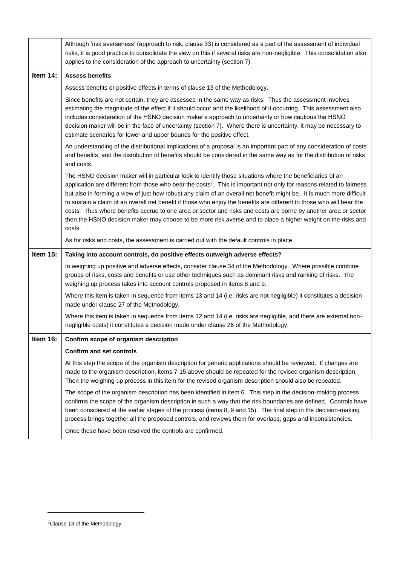|          | Although 'risk averseness' (approach to risk, clause 33) is considered as a part of the assessment of individual<br>risks, it is good practice to consolidate the view on this if several risks are non-negligible. This consolidation also<br>applies to the consideration of the approach to uncertainty (section 7).                                                                                                                                                                                                                                                                                                                                                                                                                        |
|----------|------------------------------------------------------------------------------------------------------------------------------------------------------------------------------------------------------------------------------------------------------------------------------------------------------------------------------------------------------------------------------------------------------------------------------------------------------------------------------------------------------------------------------------------------------------------------------------------------------------------------------------------------------------------------------------------------------------------------------------------------|
| Item 14: | <b>Assess benefits</b>                                                                                                                                                                                                                                                                                                                                                                                                                                                                                                                                                                                                                                                                                                                         |
|          | Assess benefits or positive effects in terms of clause 13 of the Methodology.                                                                                                                                                                                                                                                                                                                                                                                                                                                                                                                                                                                                                                                                  |
|          | Since benefits are not certain, they are assessed in the same way as risks. Thus the assessment involves<br>estimating the magnitude of the effect if it should occur and the likelihood of it occurring. This assessment also<br>includes consideration of the HSNO decision maker's approach to uncertainty or how cautious the HSNO<br>decision maker will be in the face of uncertainty (section 7). Where there is uncertainty, it may be necessary to<br>estimate scenarios for lower and upper bounds for the positive effect.                                                                                                                                                                                                          |
|          | An understanding of the distributional implications of a proposal is an important part of any consideration of costs<br>and benefits, and the distribution of benefits should be considered in the same way as for the distribution of risks<br>and costs.                                                                                                                                                                                                                                                                                                                                                                                                                                                                                     |
|          | The HSNO decision maker will in particular look to identify those situations where the beneficiaries of an<br>application are different from those who bear the costs <sup>7</sup> . This is important not only for reasons related to fairness<br>but also in forming a view of just how robust any claim of an overall net benefit might be. It is much more difficult<br>to sustain a claim of an overall net benefit if those who enjoy the benefits are different to those who will bear the<br>costs. Thus where benefits accrue to one area or sector and risks and costs are borne by another area or sector<br>then the HSNO decision maker may choose to be more risk averse and to place a higher weight on the risks and<br>costs. |
|          | As for risks and costs, the assessment is carried out with the default controls in place.                                                                                                                                                                                                                                                                                                                                                                                                                                                                                                                                                                                                                                                      |
| Item 15: | Taking into account controls, do positive effects outweigh adverse effects?                                                                                                                                                                                                                                                                                                                                                                                                                                                                                                                                                                                                                                                                    |
|          | In weighing up positive and adverse effects, consider clause 34 of the Methodology. Where possible combine<br>groups of risks, costs and benefits or use other techniques such as dominant risks and ranking of risks. The<br>weighing up process takes into account controls proposed in items 8 and 9.                                                                                                                                                                                                                                                                                                                                                                                                                                       |
|          | Where this item is taken in sequence from items 13 and 14 (i.e. risks are not negligible) it constitutes a decision<br>made under clause 27 of the Methodology.                                                                                                                                                                                                                                                                                                                                                                                                                                                                                                                                                                                |
|          | Where this item is taken in sequence from items 12 and 14 (i.e. risks are negligible, and there are external non-<br>negligible costs) it constitutes a decision made under clause 26 of the Methodology.                                                                                                                                                                                                                                                                                                                                                                                                                                                                                                                                      |
| Item 16: | Confirm scope of organism description                                                                                                                                                                                                                                                                                                                                                                                                                                                                                                                                                                                                                                                                                                          |
|          | <b>Confirm and set controls</b>                                                                                                                                                                                                                                                                                                                                                                                                                                                                                                                                                                                                                                                                                                                |
|          | At this step the scope of the organism description for generic applications should be reviewed. If changes are<br>made to the organism description, items 7-15 above should be repeated for the revised organism description.<br>Then the weighing up process in this item for the revised organism description should also be repeated.                                                                                                                                                                                                                                                                                                                                                                                                       |
|          | The scope of the organism description has been identified in item 6. This step in the decision-making process<br>confirms the scope of the organism description in such a way that the risk boundaries are defined. Controls have<br>been considered at the earlier stages of the process (items 8, 9 and 15). The final step in the decision-making<br>process brings together all the proposed controls, and reviews them for overlaps, gaps and inconsistencies.                                                                                                                                                                                                                                                                            |
|          | Once these have been resolved the controls are confirmed.                                                                                                                                                                                                                                                                                                                                                                                                                                                                                                                                                                                                                                                                                      |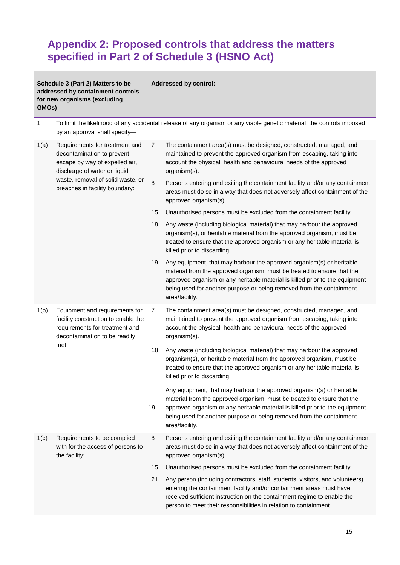# **Appendix 2: Proposed controls that address the matters specified in Part 2 of Schedule 3 (HSNO Act)**

#### **Schedule 3 (Part 2) Matters to be addressed by containment controls for new organisms (excluding GMOs)**

**Addressed by control:** 

| 1    | To limit the likelihood of any accidental release of any organism or any viable genetic material, the controls imposed<br>by an approval shall specify-                                               |         |                                                                                                                                                                                                                                                                                                                            |
|------|-------------------------------------------------------------------------------------------------------------------------------------------------------------------------------------------------------|---------|----------------------------------------------------------------------------------------------------------------------------------------------------------------------------------------------------------------------------------------------------------------------------------------------------------------------------|
| 1(a) | Requirements for treatment and<br>decontamination to prevent<br>escape by way of expelled air,<br>discharge of water or liquid<br>waste, removal of solid waste, or<br>breaches in facility boundary: | 7       | The containment area(s) must be designed, constructed, managed, and<br>maintained to prevent the approved organism from escaping, taking into<br>account the physical, health and behavioural needs of the approved<br>organism(s).                                                                                        |
|      |                                                                                                                                                                                                       | $\,8\,$ | Persons entering and exiting the containment facility and/or any containment<br>areas must do so in a way that does not adversely affect containment of the<br>approved organism(s).                                                                                                                                       |
|      |                                                                                                                                                                                                       | 15      | Unauthorised persons must be excluded from the containment facility.                                                                                                                                                                                                                                                       |
|      |                                                                                                                                                                                                       | 18      | Any waste (including biological material) that may harbour the approved<br>organism(s), or heritable material from the approved organism, must be<br>treated to ensure that the approved organism or any heritable material is<br>killed prior to discarding.                                                              |
|      |                                                                                                                                                                                                       | 19      | Any equipment, that may harbour the approved organism(s) or heritable<br>material from the approved organism, must be treated to ensure that the<br>approved organism or any heritable material is killed prior to the equipment<br>being used for another purpose or being removed from the containment<br>area/facility. |
| 1(b) | Equipment and requirements for<br>facility construction to enable the<br>requirements for treatment and<br>decontamination to be readily<br>met:                                                      | 7       | The containment area(s) must be designed, constructed, managed, and<br>maintained to prevent the approved organism from escaping, taking into<br>account the physical, health and behavioural needs of the approved<br>organism(s).                                                                                        |
|      |                                                                                                                                                                                                       | 18      | Any waste (including biological material) that may harbour the approved<br>organism(s), or heritable material from the approved organism, must be<br>treated to ensure that the approved organism or any heritable material is<br>killed prior to discarding.                                                              |
|      |                                                                                                                                                                                                       | 19      | Any equipment, that may harbour the approved organism(s) or heritable<br>material from the approved organism, must be treated to ensure that the<br>approved organism or any heritable material is killed prior to the equipment<br>being used for another purpose or being removed from the containment<br>area/facility. |
| 1(c) | Requirements to be complied<br>with for the access of persons to<br>the facility:                                                                                                                     | 8       | Persons entering and exiting the containment facility and/or any containment<br>areas must do so in a way that does not adversely affect containment of the<br>approved organism(s).                                                                                                                                       |
|      |                                                                                                                                                                                                       | 15      | Unauthorised persons must be excluded from the containment facility.                                                                                                                                                                                                                                                       |
|      |                                                                                                                                                                                                       | 21      | Any person (including contractors, staff, students, visitors, and volunteers)<br>entering the containment facility and/or containment areas must have<br>received sufficient instruction on the containment regime to enable the<br>person to meet their responsibilities in relation to containment.                      |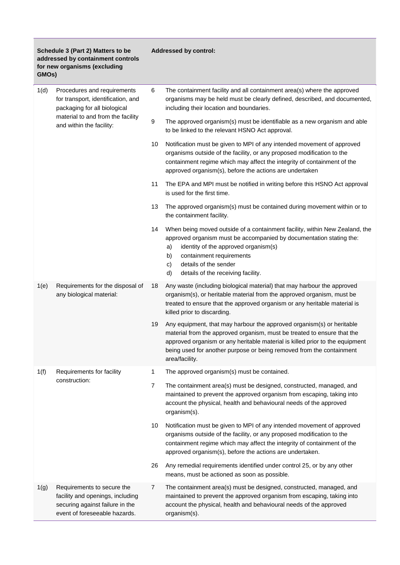| Schedule 3 (Part 2) Matters to be<br>addressed by containment controls<br>for new organisms (excluding<br>GMOs) |                                                                                                                                                                    |                | <b>Addressed by control:</b>                                                                                                                                                                                                                                                                                               |
|-----------------------------------------------------------------------------------------------------------------|--------------------------------------------------------------------------------------------------------------------------------------------------------------------|----------------|----------------------------------------------------------------------------------------------------------------------------------------------------------------------------------------------------------------------------------------------------------------------------------------------------------------------------|
| 1(d)                                                                                                            | Procedures and requirements<br>for transport, identification, and<br>packaging for all biological<br>material to and from the facility<br>and within the facility: | 6              | The containment facility and all containment area(s) where the approved<br>organisms may be held must be clearly defined, described, and documented,<br>including their location and boundaries.                                                                                                                           |
|                                                                                                                 |                                                                                                                                                                    | 9              | The approved organism(s) must be identifiable as a new organism and able<br>to be linked to the relevant HSNO Act approval.                                                                                                                                                                                                |
|                                                                                                                 |                                                                                                                                                                    | 10             | Notification must be given to MPI of any intended movement of approved<br>organisms outside of the facility, or any proposed modification to the<br>containment regime which may affect the integrity of containment of the<br>approved organism(s), before the actions are undertaken                                     |
|                                                                                                                 |                                                                                                                                                                    | 11             | The EPA and MPI must be notified in writing before this HSNO Act approval<br>is used for the first time.                                                                                                                                                                                                                   |
|                                                                                                                 |                                                                                                                                                                    | 13             | The approved organism(s) must be contained during movement within or to<br>the containment facility.                                                                                                                                                                                                                       |
|                                                                                                                 |                                                                                                                                                                    | 14             | When being moved outside of a containment facility, within New Zealand, the<br>approved organism must be accompanied by documentation stating the:<br>identity of the approved organism(s)<br>a)<br>containment requirements<br>b)<br>details of the sender<br>c)<br>d)<br>details of the receiving facility.              |
| 1(e)                                                                                                            | Requirements for the disposal of<br>any biological material:                                                                                                       | 18             | Any waste (including biological material) that may harbour the approved<br>organism(s), or heritable material from the approved organism, must be<br>treated to ensure that the approved organism or any heritable material is<br>killed prior to discarding.                                                              |
|                                                                                                                 |                                                                                                                                                                    | 19             | Any equipment, that may harbour the approved organism(s) or heritable<br>material from the approved organism, must be treated to ensure that the<br>approved organism or any heritable material is killed prior to the equipment<br>being used for another purpose or being removed from the containment<br>area/facility. |
| 1(f)                                                                                                            | Requirements for facility                                                                                                                                          | $\mathbf{1}$   | The approved organism(s) must be contained.                                                                                                                                                                                                                                                                                |
|                                                                                                                 | construction:                                                                                                                                                      | $\overline{7}$ | The containment area(s) must be designed, constructed, managed, and<br>maintained to prevent the approved organism from escaping, taking into<br>account the physical, health and behavioural needs of the approved<br>organism(s).                                                                                        |
|                                                                                                                 |                                                                                                                                                                    | 10             | Notification must be given to MPI of any intended movement of approved<br>organisms outside of the facility, or any proposed modification to the<br>containment regime which may affect the integrity of containment of the<br>approved organism(s), before the actions are undertaken.                                    |
|                                                                                                                 |                                                                                                                                                                    | 26             | Any remedial requirements identified under control 25, or by any other<br>means, must be actioned as soon as possible.                                                                                                                                                                                                     |
| 1(g)                                                                                                            | Requirements to secure the<br>facility and openings, including<br>securing against failure in the<br>event of foreseeable hazards.                                 | 7              | The containment area(s) must be designed, constructed, managed, and<br>maintained to prevent the approved organism from escaping, taking into<br>account the physical, health and behavioural needs of the approved<br>organism(s).                                                                                        |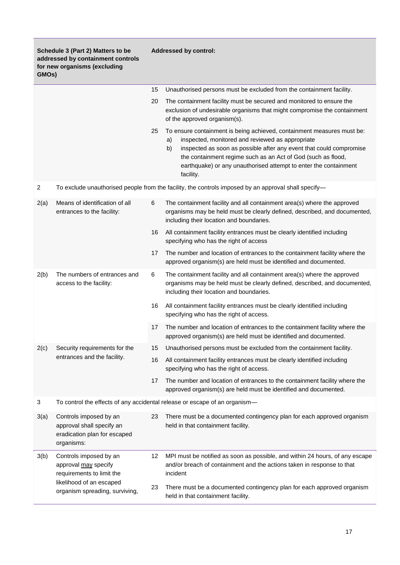| Schedule 3 (Part 2) Matters to be<br>addressed by containment controls<br>for new organisms (excluding<br>GMOs) |                                                                                                                                           |    | <b>Addressed by control:</b>                                                                                                                                                                                                                                                                                                                                   |
|-----------------------------------------------------------------------------------------------------------------|-------------------------------------------------------------------------------------------------------------------------------------------|----|----------------------------------------------------------------------------------------------------------------------------------------------------------------------------------------------------------------------------------------------------------------------------------------------------------------------------------------------------------------|
|                                                                                                                 |                                                                                                                                           | 15 | Unauthorised persons must be excluded from the containment facility.                                                                                                                                                                                                                                                                                           |
|                                                                                                                 |                                                                                                                                           | 20 | The containment facility must be secured and monitored to ensure the<br>exclusion of undesirable organisms that might compromise the containment<br>of the approved organism(s).                                                                                                                                                                               |
|                                                                                                                 |                                                                                                                                           | 25 | To ensure containment is being achieved, containment measures must be:<br>inspected, monitored and reviewed as appropriate<br>a)<br>b)<br>inspected as soon as possible after any event that could compromise<br>the containment regime such as an Act of God (such as flood,<br>earthquake) or any unauthorised attempt to enter the containment<br>facility. |
| $\overline{2}$                                                                                                  |                                                                                                                                           |    | To exclude unauthorised people from the facility, the controls imposed by an approval shall specify-                                                                                                                                                                                                                                                           |
| 2(a)                                                                                                            | Means of identification of all<br>entrances to the facility:                                                                              | 6  | The containment facility and all containment area(s) where the approved<br>organisms may be held must be clearly defined, described, and documented,<br>including their location and boundaries.                                                                                                                                                               |
|                                                                                                                 |                                                                                                                                           | 16 | All containment facility entrances must be clearly identified including<br>specifying who has the right of access                                                                                                                                                                                                                                              |
|                                                                                                                 |                                                                                                                                           | 17 | The number and location of entrances to the containment facility where the<br>approved organism(s) are held must be identified and documented.                                                                                                                                                                                                                 |
| 2(b)                                                                                                            | The numbers of entrances and<br>access to the facility:                                                                                   | 6  | The containment facility and all containment area(s) where the approved<br>organisms may be held must be clearly defined, described, and documented,<br>including their location and boundaries.                                                                                                                                                               |
|                                                                                                                 |                                                                                                                                           | 16 | All containment facility entrances must be clearly identified including<br>specifying who has the right of access.                                                                                                                                                                                                                                             |
|                                                                                                                 |                                                                                                                                           | 17 | The number and location of entrances to the containment facility where the<br>approved organism(s) are held must be identified and documented.                                                                                                                                                                                                                 |
| 2(c)                                                                                                            | Security requirements for the<br>entrances and the facility.                                                                              | 15 | Unauthorised persons must be excluded from the containment facility.                                                                                                                                                                                                                                                                                           |
|                                                                                                                 |                                                                                                                                           | 16 | All containment facility entrances must be clearly identified including<br>specifying who has the right of access.                                                                                                                                                                                                                                             |
|                                                                                                                 |                                                                                                                                           | 17 | The number and location of entrances to the containment facility where the<br>approved organism(s) are held must be identified and documented.                                                                                                                                                                                                                 |
| 3                                                                                                               |                                                                                                                                           |    | To control the effects of any accidental release or escape of an organism-                                                                                                                                                                                                                                                                                     |
| 3(a)                                                                                                            | Controls imposed by an<br>approval shall specify an<br>eradication plan for escaped<br>organisms:                                         | 23 | There must be a documented contingency plan for each approved organism<br>held in that containment facility.                                                                                                                                                                                                                                                   |
| 3(b)                                                                                                            | Controls imposed by an<br>approval may specify<br>requirements to limit the<br>likelihood of an escaped<br>organism spreading, surviving, | 12 | MPI must be notified as soon as possible, and within 24 hours, of any escape<br>and/or breach of containment and the actions taken in response to that<br>incident                                                                                                                                                                                             |
|                                                                                                                 |                                                                                                                                           | 23 | There must be a documented contingency plan for each approved organism<br>held in that containment facility.                                                                                                                                                                                                                                                   |

ŕ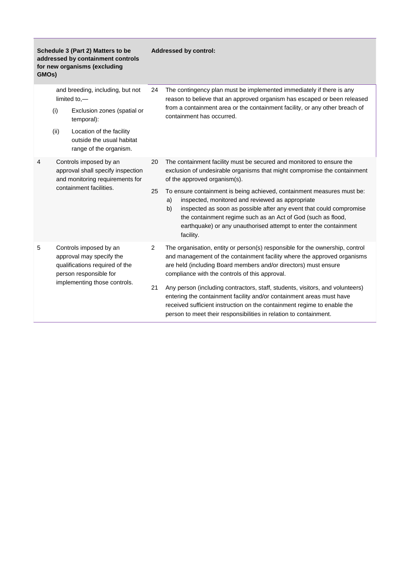| Schedule 3 (Part 2) Matters to be<br>addressed by containment controls<br>for new organisms (excluding<br>GMO <sub>s</sub> ) |                                                                                                                                                |  | <b>Addressed by control:</b> |                                                                                                                                                                                                                                                                                                                                                                |
|------------------------------------------------------------------------------------------------------------------------------|------------------------------------------------------------------------------------------------------------------------------------------------|--|------------------------------|----------------------------------------------------------------------------------------------------------------------------------------------------------------------------------------------------------------------------------------------------------------------------------------------------------------------------------------------------------------|
|                                                                                                                              | and breeding, including, but not<br>limited to, $-$                                                                                            |  | 24                           | The contingency plan must be implemented immediately if there is any<br>reason to believe that an approved organism has escaped or been released                                                                                                                                                                                                               |
|                                                                                                                              | (i)<br>Exclusion zones (spatial or<br>temporal):<br>(ii)<br>Location of the facility<br>outside the usual habitat<br>range of the organism.    |  |                              | from a containment area or the containment facility, or any other breach of<br>containment has occurred.                                                                                                                                                                                                                                                       |
|                                                                                                                              |                                                                                                                                                |  |                              |                                                                                                                                                                                                                                                                                                                                                                |
| $\overline{4}$                                                                                                               | Controls imposed by an<br>approval shall specify inspection<br>and monitoring requirements for<br>containment facilities.                      |  | 20                           | The containment facility must be secured and monitored to ensure the<br>exclusion of undesirable organisms that might compromise the containment<br>of the approved organism(s).                                                                                                                                                                               |
|                                                                                                                              |                                                                                                                                                |  | 25                           | To ensure containment is being achieved, containment measures must be:<br>inspected, monitored and reviewed as appropriate<br>a)<br>inspected as soon as possible after any event that could compromise<br>b)<br>the containment regime such as an Act of God (such as flood,<br>earthquake) or any unauthorised attempt to enter the containment<br>facility. |
| 5                                                                                                                            | Controls imposed by an<br>approval may specify the<br>qualifications required of the<br>person responsible for<br>implementing those controls. |  | $\overline{2}$               | The organisation, entity or person(s) responsible for the ownership, control<br>and management of the containment facility where the approved organisms<br>are held (including Board members and/or directors) must ensure<br>compliance with the controls of this approval.                                                                                   |
|                                                                                                                              |                                                                                                                                                |  | 21                           | Any person (including contractors, staff, students, visitors, and volunteers)<br>entering the containment facility and/or containment areas must have<br>received sufficient instruction on the containment regime to enable the<br>person to meet their responsibilities in relation to containment.                                                          |